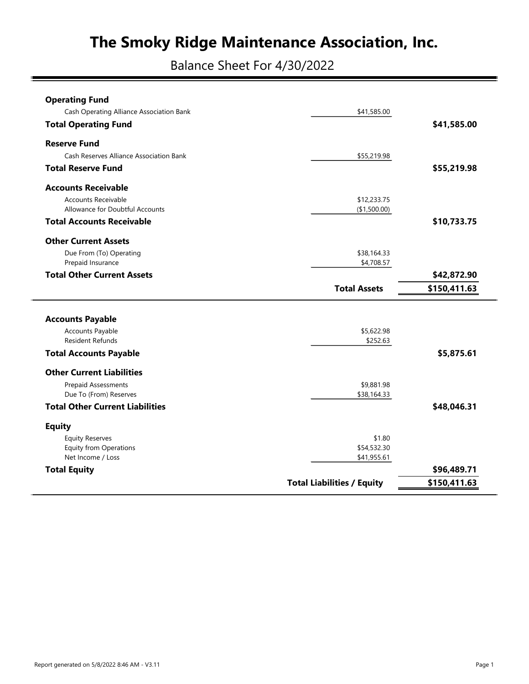Balance Sheet For 4/30/2022

| <b>Operating Fund</b>                    |                     |              |
|------------------------------------------|---------------------|--------------|
| Cash Operating Alliance Association Bank | \$41,585.00         |              |
| <b>Total Operating Fund</b>              |                     | \$41,585.00  |
| <b>Reserve Fund</b>                      |                     |              |
| Cash Reserves Alliance Association Bank  | \$55,219.98         |              |
| <b>Total Reserve Fund</b>                |                     | \$55,219.98  |
| <b>Accounts Receivable</b>               |                     |              |
| <b>Accounts Receivable</b>               | \$12,233.75         |              |
| Allowance for Doubtful Accounts          | (\$1,500.00)        |              |
| <b>Total Accounts Receivable</b>         |                     | \$10,733.75  |
| <b>Other Current Assets</b>              |                     |              |
| Due From (To) Operating                  | \$38,164.33         |              |
| Prepaid Insurance                        | \$4,708.57          |              |
| <b>Total Other Current Assets</b>        |                     | \$42,872.90  |
|                                          | <b>Total Assets</b> | \$150,411.63 |
|                                          |                     |              |
|                                          |                     |              |
| <b>Accounts Payable</b>                  |                     |              |
| Accounts Payable                         | \$5,622.98          |              |
| <b>Resident Refunds</b>                  | \$252.63            |              |
| <b>Total Accounts Payable</b>            |                     | \$5,875.61   |
| <b>Other Current Liabilities</b>         |                     |              |
| Prepaid Assessments                      | \$9,881.98          |              |
| Due To (From) Reserves                   | \$38,164.33         |              |
| <b>Total Other Current Liabilities</b>   |                     | \$48,046.31  |
| <b>Equity</b>                            |                     |              |
| <b>Equity Reserves</b>                   | \$1.80              |              |
| <b>Equity from Operations</b>            | \$54,532.30         |              |
| Net Income / Loss                        | \$41,955.61         |              |
| <b>Total Equity</b>                      |                     | \$96,489.71  |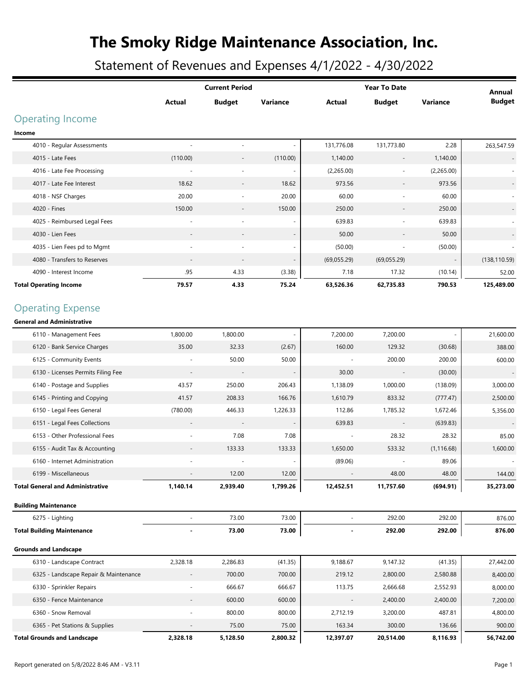Statement of Revenues and Expenses 4/1/2022 - 4/30/2022

|                                         |                          | <b>Current Period</b>    |          |                | <b>Year To Date</b>      |             | Annual        |
|-----------------------------------------|--------------------------|--------------------------|----------|----------------|--------------------------|-------------|---------------|
|                                         | Actual                   | <b>Budget</b>            | Variance | <b>Actual</b>  | <b>Budget</b>            | Variance    | <b>Budget</b> |
| <b>Operating Income</b>                 |                          |                          |          |                |                          |             |               |
| Income                                  |                          |                          |          |                |                          |             |               |
| 4010 - Regular Assessments              | $\overline{\phantom{a}}$ |                          |          | 131,776.08     | 131,773.80               | 2.28        | 263,547.59    |
| 4015 - Late Fees                        | (110.00)                 | $\overline{\phantom{a}}$ | (110.00) | 1,140.00       | $\overline{\phantom{a}}$ | 1,140.00    |               |
| 4016 - Late Fee Processing              |                          |                          |          | (2,265.00)     |                          | (2,265.00)  |               |
| 4017 - Late Fee Interest                | 18.62                    | $\overline{\phantom{a}}$ | 18.62    | 973.56         | $\overline{\phantom{a}}$ | 973.56      |               |
| 4018 - NSF Charges                      | 20.00                    |                          | 20.00    | 60.00          |                          | 60.00       |               |
| 4020 - Fines                            | 150.00                   |                          | 150.00   | 250.00         | $\overline{\phantom{a}}$ | 250.00      |               |
| 4025 - Reimbursed Legal Fees            |                          |                          |          | 639.83         |                          | 639.83      |               |
| 4030 - Lien Fees                        |                          |                          |          | 50.00          |                          | 50.00       |               |
| 4035 - Lien Fees pd to Mgmt             |                          |                          |          | (50.00)        |                          | (50.00)     |               |
| 4080 - Transfers to Reserves            |                          |                          |          | (69,055.29)    | (69,055.29)              |             | (138, 110.59) |
| 4090 - Interest Income                  | .95                      | 4.33                     | (3.38)   | 7.18           | 17.32                    | (10.14)     | 52.00         |
| <b>Total Operating Income</b>           | 79.57                    | 4.33                     | 75.24    | 63,526.36      | 62,735.83                | 790.53      | 125,489.00    |
| <b>Operating Expense</b>                |                          |                          |          |                |                          |             |               |
| <b>General and Administrative</b>       |                          |                          |          |                |                          |             |               |
| 6110 - Management Fees                  | 1,800.00                 | 1,800.00                 |          | 7,200.00       | 7,200.00                 |             | 21,600.00     |
| 6120 - Bank Service Charges             | 35.00                    | 32.33                    | (2.67)   | 160.00         | 129.32                   | (30.68)     | 388.00        |
| 6125 - Community Events                 |                          | 50.00                    | 50.00    |                | 200.00                   | 200.00      | 600.00        |
| 6130 - Licenses Permits Filing Fee      |                          |                          |          | 30.00          | $\overline{\phantom{a}}$ | (30.00)     |               |
| 6140 - Postage and Supplies             | 43.57                    | 250.00                   | 206.43   | 1,138.09       | 1,000.00                 | (138.09)    | 3,000.00      |
| 6145 - Printing and Copying             | 41.57                    | 208.33                   | 166.76   | 1,610.79       | 833.32                   | (777.47)    | 2,500.00      |
| 6150 - Legal Fees General               | (780.00)                 | 446.33                   | 1,226.33 | 112.86         | 1,785.32                 | 1,672.46    | 5,356.00      |
| 6151 - Legal Fees Collections           | $\overline{\phantom{a}}$ |                          |          | 639.83         | $\overline{a}$           | (639.83)    |               |
| 6153 - Other Professional Fees          |                          | 7.08                     | 7.08     |                | 28.32                    | 28.32       | 85.00         |
| 6155 - Audit Tax & Accounting           |                          | 133.33                   | 133.33   | 1,650.00       | 533.32                   | (1, 116.68) | 1,600.00      |
| 6160 - Internet Administration          |                          |                          |          | (89.06)        |                          | 89.06       |               |
| 6199 - Miscellaneous                    | $\overline{\phantom{a}}$ | 12.00                    | 12.00    |                | 48.00                    | 48.00       | 144.00        |
| <b>Total General and Administrative</b> | 1,140.14                 | 2,939.40                 | 1,799.26 | 12,452.51      | 11,757.60                | (694.91)    | 35,273.00     |
| <b>Building Maintenance</b>             |                          |                          |          |                |                          |             |               |
| 6275 - Lighting                         |                          | 73.00                    | 73.00    |                | 292.00                   | 292.00      | 876.00        |
| <b>Total Building Maintenance</b>       |                          | 73.00                    | 73.00    | $\blacksquare$ | 292.00                   | 292.00      | 876.00        |
| <b>Grounds and Landscape</b>            |                          |                          |          |                |                          |             |               |
| 6310 - Landscape Contract               | 2,328.18                 | 2,286.83                 | (41.35)  | 9,188.67       | 9,147.32                 | (41.35)     | 27,442.00     |
| 6325 - Landscape Repair & Maintenance   | $\overline{\phantom{a}}$ | 700.00                   | 700.00   | 219.12         | 2,800.00                 | 2,580.88    | 8,400.00      |
| 6330 - Sprinkler Repairs                |                          | 666.67                   | 666.67   | 113.75         | 2,666.68                 | 2,552.93    | 8,000.00      |
| 6350 - Fence Maintenance                |                          | 600.00                   | 600.00   |                | 2,400.00                 | 2,400.00    | 7,200.00      |
| 6360 - Snow Removal                     |                          | 800.00                   | 800.00   | 2,712.19       | 3,200.00                 | 487.81      | 4,800.00      |
| 6365 - Pet Stations & Supplies          |                          | 75.00                    | 75.00    | 163.34         | 300.00                   | 136.66      | 900.00        |
| <b>Total Grounds and Landscape</b>      | 2,328.18                 | 5,128.50                 | 2,800.32 | 12,397.07      | 20,514.00                | 8,116.93    | 56,742.00     |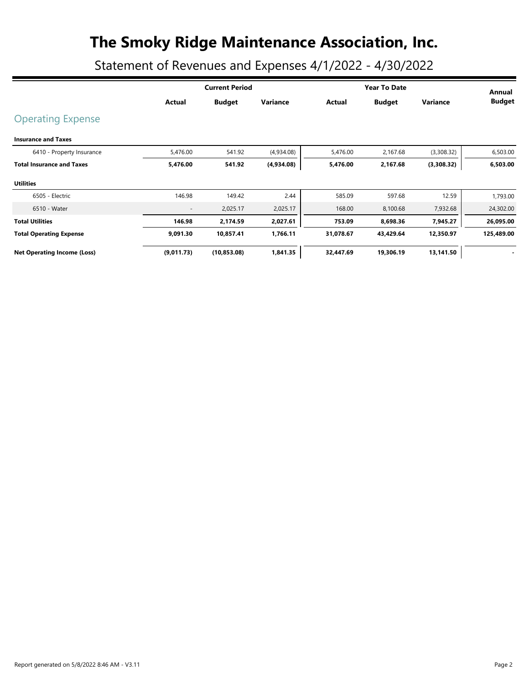Statement of Revenues and Expenses 4/1/2022 - 4/30/2022

|                                    |                          | <b>Current Period</b> |            |           | <b>Year To Date</b> |            |                         |  |
|------------------------------------|--------------------------|-----------------------|------------|-----------|---------------------|------------|-------------------------|--|
|                                    | Actual                   | <b>Budget</b>         | Variance   | Actual    | <b>Budget</b>       | Variance   | Annual<br><b>Budget</b> |  |
| <b>Operating Expense</b>           |                          |                       |            |           |                     |            |                         |  |
| <b>Insurance and Taxes</b>         |                          |                       |            |           |                     |            |                         |  |
| 6410 - Property Insurance          | 5,476.00                 | 541.92                | (4,934.08) | 5,476.00  | 2,167.68            | (3,308.32) | 6,503.00                |  |
| <b>Total Insurance and Taxes</b>   | 5,476.00                 | 541.92                | (4,934.08) | 5,476.00  | 2,167.68            | (3,308.32) | 6,503.00                |  |
| <b>Utilities</b>                   |                          |                       |            |           |                     |            |                         |  |
| 6505 - Electric                    | 146.98                   | 149.42                | 2.44       | 585.09    | 597.68              | 12.59      | 1,793.00                |  |
| 6510 - Water                       | $\overline{\phantom{a}}$ | 2,025.17              | 2,025.17   | 168.00    | 8,100.68            | 7,932.68   | 24,302.00               |  |
| <b>Total Utilities</b>             | 146.98                   | 2,174.59              | 2,027.61   | 753.09    | 8,698.36            | 7,945.27   | 26,095.00               |  |
| <b>Total Operating Expense</b>     | 9,091.30                 | 10,857.41             | 1,766.11   | 31,078.67 | 43,429.64           | 12,350.97  | 125,489.00              |  |
| <b>Net Operating Income (Loss)</b> | (9,011.73)               | (10, 853.08)          | 1,841.35   | 32,447.69 | 19,306.19           | 13,141.50  |                         |  |